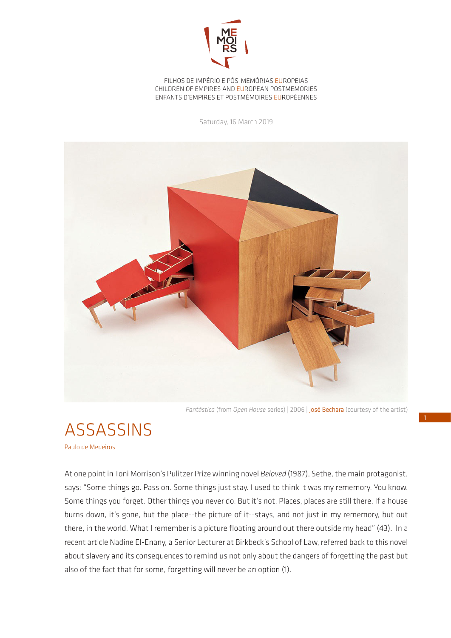

FILHOS DE IMPÉRIO E PÓS-MEMÓRIAS EUROPEIAS CHILDREN OF EMPIRES AND EUROPEAN POSTMEMORIES ENFANTS D'EMPIRES ET POSTMÉMOIRES EUROPÉENNES

Saturday, 16 March 2019



*Fantástica* (from *Open House* series) | 2006 | José Bechara (courtesy of the artist)



Paulo de Medeiros

At one point in Toni Morrison's Pulitzer Prize winning novel *Beloved* (1987), Sethe, the main protagonist, says: "Some things go. Pass on. Some things just stay. I used to think it was my rememory. You know. Some things you forget. Other things you never do. But it's not. Places, places are still there. If a house burns down, it's gone, but the place--the picture of it--stays, and not just in my rememory, but out there, in the world. What I remember is a picture floating around out there outside my head" (43). In a recent article Nadine El-Enany, a Senior Lecturer at Birkbeck's School of Law, referred back to this novel about slavery and its consequences to remind us not only about the dangers of forgetting the past but also of the fact that for some, forgetting will never be an option (1).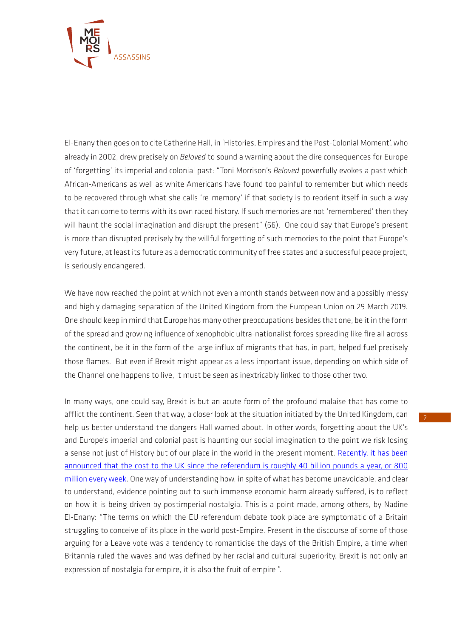

El-Enany then goes on to cite Catherine Hall, in 'Histories, Empires and the Post-Colonial Moment', who already in 2002, drew precisely on *Beloved* to sound a warning about the dire consequences for Europe of 'forgetting' its imperial and colonial past: "Toni Morrison's *Beloved* powerfully evokes a past which African-Americans as well as white Americans have found too painful to remember but which needs to be recovered through what she calls 're-memory' if that society is to reorient itself in such a way that it can come to terms with its own raced history. If such memories are not 'remembered' then they will haunt the social imagination and disrupt the present" (66). One could say that Europe's present is more than disrupted precisely by the willful forgetting of such memories to the point that Europe's very future, at least its future as a democratic community of free states and a successful peace project, is seriously endangered.

We have now reached the point at which not even a month stands between now and a possibly messy and highly damaging separation of the United Kingdom from the European Union on 29 March 2019. One should keep in mind that Europe has many other preoccupations besides that one, be it in the form of the spread and growing influence of xenophobic ultra-nationalist forces spreading like fire all across the continent, be it in the form of the large influx of migrants that has, in part, helped fuel precisely those flames. But even if Brexit might appear as a less important issue, depending on which side of the Channel one happens to live, it must be seen as inextricably linked to those other two.

In many ways, one could say, Brexit is but an acute form of the profound malaise that has come to afflict the continent. Seen that way, a closer look at the situation initiated by the United Kingdom, can help us better understand the dangers Hall warned about. In other words, forgetting about the UK's and Europe's imperial and colonial past is haunting our social imagination to the point we risk losing a sense not just of History but of our place in the world in the present moment. [Recently, it has been](https://www.theguardian.com/business/2019/feb/14/brexit-has-cost-uk-economy-at-least-80bn-since-vote-bank-of-england-rate-setter)  [announced that the cost to the UK since the referendum is roughly 40 billion pounds a year, or 800](https://www.theguardian.com/business/2019/feb/14/brexit-has-cost-uk-economy-at-least-80bn-since-vote-bank-of-england-rate-setter)  [million every week.](https://www.theguardian.com/business/2019/feb/14/brexit-has-cost-uk-economy-at-least-80bn-since-vote-bank-of-england-rate-setter) One way of understanding how, in spite of what has become unavoidable, and clear to understand, evidence pointing out to such immense economic harm already suffered, is to reflect on how it is being driven by postimperial nostalgia. This is a point made, among others, by Nadine El-Enany: "The terms on which the EU referendum debate took place are symptomatic of a Britain struggling to conceive of its place in the world post-Empire. Present in the discourse of some of those arguing for a Leave vote was a tendency to romanticise the days of the British Empire, a time when Britannia ruled the waves and was defined by her racial and cultural superiority. Brexit is not only an expression of nostalgia for empire, it is also the fruit of empire ".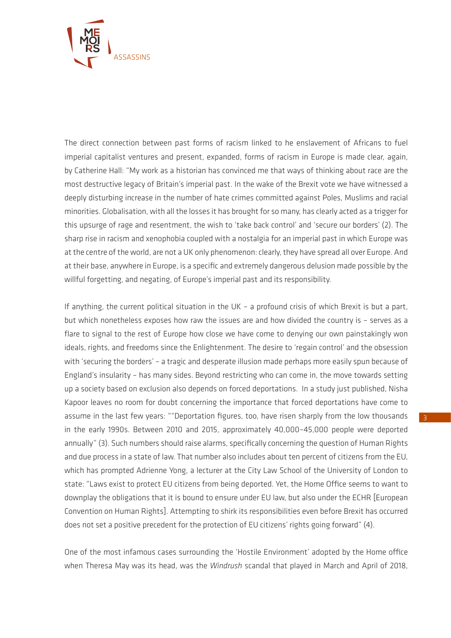

The direct connection between past forms of racism linked to he enslavement of Africans to fuel imperial capitalist ventures and present, expanded, forms of racism in Europe is made clear, again, by Catherine Hall: "My work as a historian has convinced me that ways of thinking about race are the most destructive legacy of Britain's imperial past. In the wake of the Brexit vote we have witnessed a deeply disturbing increase in the number of hate crimes committed against Poles, Muslims and racial minorities. Globalisation, with all the losses it has brought for so many, has clearly acted as a trigger for this upsurge of rage and resentment, the wish to 'take back control' and 'secure our borders' (2). The sharp rise in racism and xenophobia coupled with a nostalgia for an imperial past in which Europe was at the centre of the world, are not a UK only phenomenon: clearly, they have spread all over Europe. And at their base, anywhere in Europe, is a specific and extremely dangerous delusion made possible by the willful forgetting, and negating, of Europe's imperial past and its responsibility.

If anything, the current political situation in the UK – a profound crisis of which Brexit is but a part, but which nonetheless exposes how raw the issues are and how divided the country is – serves as a flare to signal to the rest of Europe how close we have come to denying our own painstakingly won ideals, rights, and freedoms since the Enlightenment. The desire to 'regain control' and the obsession with 'securing the borders' – a tragic and desperate illusion made perhaps more easily spun because of England's insularity – has many sides. Beyond restricting who can come in, the move towards setting up a society based on exclusion also depends on forced deportations. In a study just published, Nisha Kapoor leaves no room for doubt concerning the importance that forced deportations have come to assume in the last few years: ""Deportation figures, too, have risen sharply from the low thousands in the early 1990s. Between 2010 and 2015, approximately 40,000–45,000 people were deported annually" (3). Such numbers should raise alarms, specifically concerning the question of Human Rights and due process in a state of law. That number also includes about ten percent of citizens from the EU, which has prompted Adrienne Yong, a lecturer at the City Law School of the University of London to state: "Laws exist to protect EU citizens from being deported. Yet, the Home Office seems to want to downplay the obligations that it is bound to ensure under EU law, but also under the ECHR [European Convention on Human Rights]. Attempting to shirk its responsibilities even before Brexit has occurred does not set a positive precedent for the protection of EU citizens' rights going forward" (4).

One of the most infamous cases surrounding the 'Hostile Environment' adopted by the Home office when Theresa May was its head, was the *Windrush* scandal that played in March and April of 2018,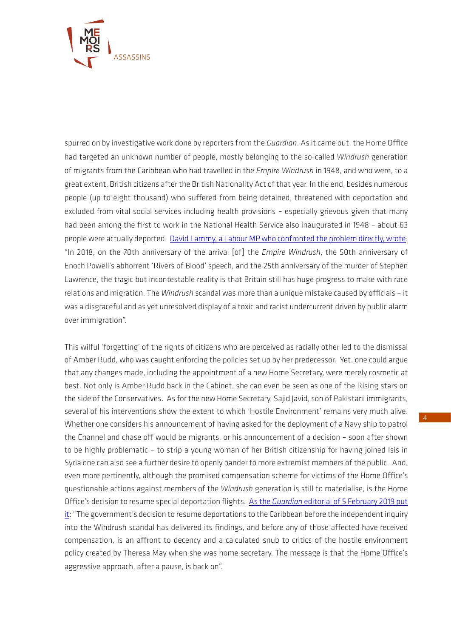

spurred on by investigative work done by reporters from the *Guardian*. As it came out, the Home Office had targeted an unknown number of people, mostly belonging to the so-called *Windrush* generation of migrants from the Caribbean who had travelled in the *Empire Windrush* in 1948, and who were, to a great extent, British citizens after the British Nationality Act of that year. In the end, besides numerous people (up to eight thousand) who suffered from being detained, threatened with deportation and excluded from vital social services including health provisions – especially grievous given that many had been among the first to work in the National Health Service also inaugurated in 1948 – about 63 people were actually deported. [David Lammy, a Labour MP who confronted the problem directly, wrote:](https://www.bl.uk/windrush/articles/perspectives-on-the-windrush-generation-scandal-a-response-from-david-lammy) "In 2018, on the 70th anniversary of the arrival [of] the *Empire Windrush*, the 50th anniversary of Enoch Powell's abhorrent 'Rivers of Blood' speech, and the 25th anniversary of the murder of Stephen Lawrence, the tragic but incontestable reality is that Britain still has huge progress to make with race relations and migration. The *Windrush* scandal was more than a unique mistake caused by officials – it was a disgraceful and as yet unresolved display of a toxic and racist undercurrent driven by public alarm over immigration".

This wilful 'forgetting' of the rights of citizens who are perceived as racially other led to the dismissal of Amber Rudd, who was caught enforcing the policies set up by her predecessor. Yet, one could argue that any changes made, including the appointment of a new Home Secretary, were merely cosmetic at best. Not only is Amber Rudd back in the Cabinet, she can even be seen as one of the Rising stars on the side of the Conservatives. As for the new Home Secretary, Sajid Javid, son of Pakistani immigrants, several of his interventions show the extent to which 'Hostile Environment' remains very much alive. Whether one considers his announcement of having asked for the deployment of a Navy ship to patrol the Channel and chase off would be migrants, or his announcement of a decision – soon after shown to be highly problematic – to strip a young woman of her British citizenship for having joined Isis in Syria one can also see a further desire to openly pander to more extremist members of the public. And, even more pertinently, although the promised compensation scheme for victims of the Home Office's questionable actions against members of the *Windrush* generation is still to materialise, is the Home Office's decision to resume special deportation flights. As the *Guardian* [editorial of 5 February 2019 put](https://www.theguardian.com/commentisfree/2019/feb/05/the-guardian-view-on-deportation-flights-the-return-of-the-hostile-environment)  [it:](https://www.theguardian.com/commentisfree/2019/feb/05/the-guardian-view-on-deportation-flights-the-return-of-the-hostile-environment) "The government's decision to resume deportations to the Caribbean before the independent inquiry into the Windrush scandal has delivered its findings, and before any of those affected have received compensation, is an affront to decency and a calculated snub to critics of the hostile environment policy created by Theresa May when she was home secretary. The message is that the Home Office's aggressive approach, after a pause, is back on".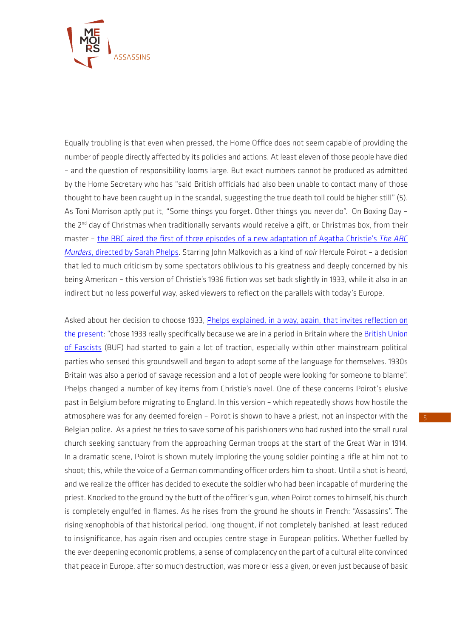

Equally troubling is that even when pressed, the Home Office does not seem capable of providing the number of people directly affected by its policies and actions. At least eleven of those people have died – and the question of responsibility looms large. But exact numbers cannot be produced as admitted by the Home Secretary who has "said British officials had also been unable to contact many of those thought to have been caught up in the scandal, suggesting the true death toll could be higher still" (5). As Toni Morrison aptly put it, "Some things you forget. Other things you never do". On Boxing Day – the 2<sup>nd</sup> day of Christmas when traditionally servants would receive a gift, or Christmas box, from their master – [the BBC aired the first of three episodes of a new adaptation of Agatha Christie's](https://www.bbc.co.uk/programmes/b0bxbvtl) *The ABC Murders*[, directed by Sarah Phelps.](https://www.bbc.co.uk/programmes/b0bxbvtl) Starring John Malkovich as a kind of *noir* Hercule Poirot – a decision that led to much criticism by some spectators oblivious to his greatness and deeply concerned by his being American – this version of Christie's 1936 fiction was set back slightly in 1933, while it also in an indirect but no less powerful way, asked viewers to reflect on the parallels with today's Europe.

Asked about her decision to choose 1933, [Phelps explained, in a way, again, that invites reflection on](http://www.bbc.co.uk/blogs/writersroom/entries/4e6f59df-9a65-43f8-b02f-6353eecd27c7)  [the present:](http://www.bbc.co.uk/blogs/writersroom/entries/4e6f59df-9a65-43f8-b02f-6353eecd27c7) "chose 1933 really specifically because we are in a period in Britain where the British Union [of Fascists](https://en.wikipedia.org/wiki/British_Union_of_Fascists) (BUF) had started to gain a lot of traction, especially within other mainstream political parties who sensed this groundswell and began to adopt some of the language for themselves. 1930s Britain was also a period of savage recession and a lot of people were looking for someone to blame". Phelps changed a number of key items from Christie's novel. One of these concerns Poirot's elusive past in Belgium before migrating to England. In this version – which repeatedly shows how hostile the atmosphere was for any deemed foreign – Poirot is shown to have a priest, not an inspector with the Belgian police. As a priest he tries to save some of his parishioners who had rushed into the small rural church seeking sanctuary from the approaching German troops at the start of the Great War in 1914. In a dramatic scene, Poirot is shown mutely imploring the young soldier pointing a rifle at him not to shoot; this, while the voice of a German commanding officer orders him to shoot. Until a shot is heard, and we realize the officer has decided to execute the soldier who had been incapable of murdering the priest. Knocked to the ground by the butt of the officer's gun, when Poirot comes to himself, his church is completely engulfed in flames. As he rises from the ground he shouts in French: "Assassins". The rising xenophobia of that historical period, long thought, if not completely banished, at least reduced to insignificance, has again risen and occupies centre stage in European politics. Whether fuelled by the ever deepening economic problems, a sense of complacency on the part of a cultural elite convinced that peace in Europe, after so much destruction, was more or less a given, or even just because of basic